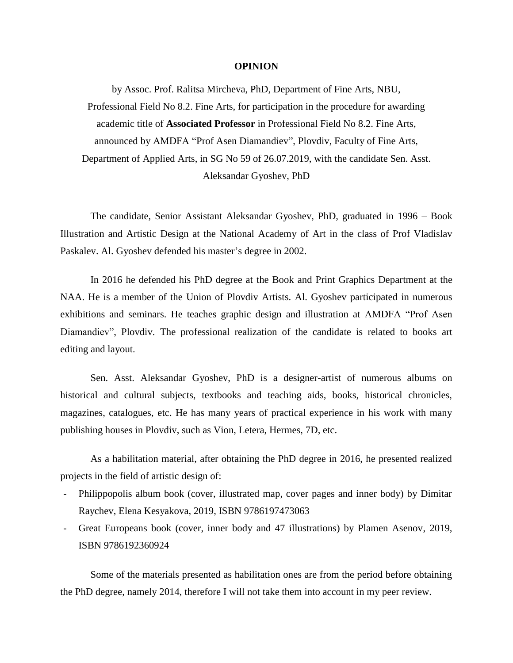## **OPINION**

by Assoc. Prof. Ralitsa Mircheva, PhD, Department of Fine Arts, NBU, Professional Field No 8.2. Fine Arts, for participation in the procedure for awarding academic title of **Associated Professor** in Professional Field No 8.2. Fine Arts, announced by AMDFA "Prof Asen Diamandiev", Plovdiv, Faculty of Fine Arts, Department of Applied Arts, in SG No 59 of 26.07.2019, with the candidate Sen. Asst. Aleksandar Gyoshev, PhD

The candidate, Senior Assistant Aleksandar Gyoshev, PhD, graduated in 1996 – Book Illustration and Artistic Design at the National Academy of Art in the class of Prof Vladislav Paskalev. Al. Gyoshev defended his master's degree in 2002.

In 2016 he defended his PhD degree at the Book and Print Graphics Department at the NAA. He is a member of the Union of Plovdiv Artists. Al. Gyoshev participated in numerous exhibitions and seminars. He teaches graphic design and illustration at AMDFA "Prof Asen Diamandiev", Plovdiv. The professional realization of the candidate is related to books art editing and layout.

Sen. Asst. Aleksandar Gyoshev, PhD is a designer-artist of numerous albums on historical and cultural subjects, textbooks and teaching aids, books, historical chronicles, magazines, catalogues, etc. He has many years of practical experience in his work with many publishing houses in Plovdiv, such as Vion, Letera, Hermes, 7D, etc.

As a habilitation material, after obtaining the PhD degree in 2016, he presented realized projects in the field of artistic design of:

- Philippopolis album book (cover, illustrated map, cover pages and inner body) by Dimitar Raychev, Elena Kesyakova, 2019, ISBN 9786197473063
- Great Europeans book (cover, inner body and 47 illustrations) by Plamen Asenov, 2019, ISBN 9786192360924

Some of the materials presented as habilitation ones are from the period before obtaining the PhD degree, namely 2014, therefore I will not take them into account in my peer review.